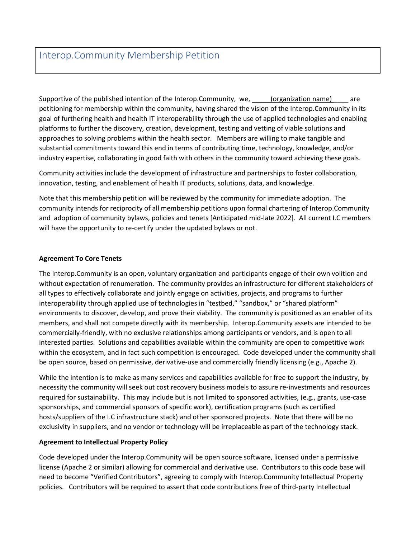# Interop.Community Membership Petition

Supportive of the published intention of the Interop.Community, we, \_\_\_\_\_(organization name) \_\_\_\_ are petitioning for membership within the community, having shared the vision of the Interop.Community in its goal of furthering health and health IT interoperability through the use of applied technologies and enabling platforms to further the discovery, creation, development, testing and vetting of viable solutions and approaches to solving problems within the health sector. Members are willing to make tangible and substantial commitments toward this end in terms of contributing time, technology, knowledge, and/or industry expertise, collaborating in good faith with others in the community toward achieving these goals.

Community activities include the development of infrastructure and partnerships to foster collaboration, innovation, testing, and enablement of health IT products, solutions, data, and knowledge.

Note that this membership petition will be reviewed by the community for immediate adoption. The community intends for reciprocity of all membership petitions upon formal chartering of Interop.Community and adoption of community bylaws, policies and tenets [Anticipated mid-late 2022]. All current I.C members will have the opportunity to re-certify under the updated bylaws or not.

### **Agreement To Core Tenets**

The Interop.Community is an open, voluntary organization and participants engage of their own volition and without expectation of renumeration. The community provides an infrastructure for different stakeholders of all types to effectively collaborate and jointly engage on activities, projects, and programs to further interoperability through applied use of technologies in "testbed," "sandbox," or "shared platform" environments to discover, develop, and prove their viability. The community is positioned as an enabler of its members, and shall not compete directly with its membership. Interop.Community assets are intended to be commercially-friendly, with no exclusive relationships among participants or vendors, and is open to all interested parties. Solutions and capabilities available within the community are open to competitive work within the ecosystem, and in fact such competition is encouraged. Code developed under the community shall be open source, based on permissive, derivative-use and commercially friendly licensing (e.g., Apache 2).

While the intention is to make as many services and capabilities available for free to support the industry, by necessity the community will seek out cost recovery business models to assure re-investments and resources required for sustainability. This may include but is not limited to sponsored activities, (e.g., grants, use-case sponsorships, and commercial sponsors of specific work), certification programs (such as certified hosts/suppliers of the I.C infrastructure stack) and other sponsored projects. Note that there will be no exclusivity in suppliers, and no vendor or technology will be irreplaceable as part of the technology stack.

### **Agreement to Intellectual Property Policy**

Code developed under the Interop.Community will be open source software, licensed under a permissive license (Apache 2 or similar) allowing for commercial and derivative use. Contributors to this code base will need to become "Verified Contributors", agreeing to comply with Interop.Community Intellectual Property policies. Contributors will be required to assert that code contributions free of third-party Intellectual